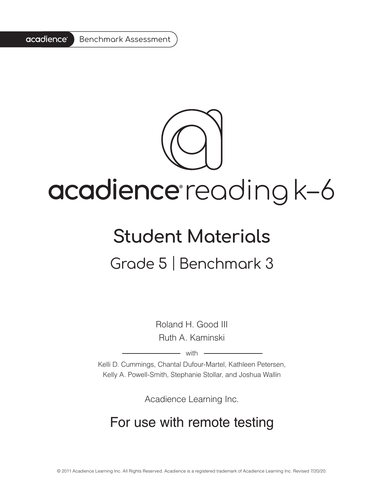#### acadience<sup>®</sup> Benchmark Assessment

# acadience reading k-6

## **Student Materials** Grade 5 | Benchmark 3

Roland H. Good III Ruth A. Kaminski

 $-$  with  $-$ 

Kelli D. Cummings, Chantal Dufour-Martel, Kathleen Petersen, Kelly A. Powell-Smith, Stephanie Stollar, and Joshua Wallin

Acadience Learning Inc.

### For use with remote testing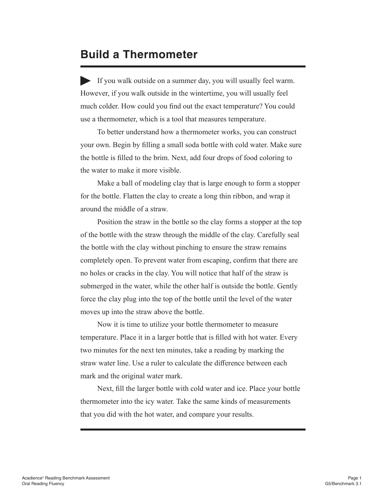#### **Build a Thermometer**

If you walk outside on a summer day, you will usually feel warm. However, if you walk outside in the wintertime, you will usually feel much colder. How could you find out the exact temperature? You could use a thermometer, which is a tool that measures temperature.

To better understand how a thermometer works, you can construct your own. Begin by filling a small soda bottle with cold water. Make sure the bottle is filled to the brim. Next, add four drops of food coloring to the water to make it more visible.

Make a ball of modeling clay that is large enough to form a stopper for the bottle. Flatten the clay to create a long thin ribbon, and wrap it around the middle of a straw.

Position the straw in the bottle so the clay forms a stopper at the top of the bottle with the straw through the middle of the clay. Carefully seal the bottle with the clay without pinching to ensure the straw remains completely open. To prevent water from escaping, confirm that there are no holes or cracks in the clay. You will notice that half of the straw is submerged in the water, while the other half is outside the bottle. Gently force the clay plug into the top of the bottle until the level of the water moves up into the straw above the bottle.

Now it is time to utilize your bottle thermometer to measure temperature. Place it in a larger bottle that is filled with hot water. Every two minutes for the next ten minutes, take a reading by marking the straw water line. Use a ruler to calculate the difference between each mark and the original water mark.

Next, fill the larger bottle with cold water and ice. Place your bottle thermometer into the icy water. Take the same kinds of measurements that you did with the hot water, and compare your results.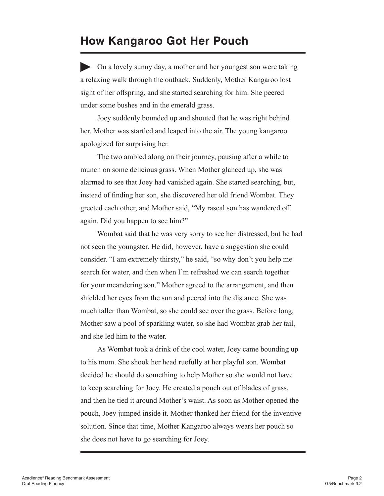#### **How Kangaroo Got Her Pouch**

On a lovely sunny day, a mother and her youngest son were taking a relaxing walk through the outback. Suddenly, Mother Kangaroo lost sight of her offspring, and she started searching for him. She peered under some bushes and in the emerald grass.

Joey suddenly bounded up and shouted that he was right behind her. Mother was startled and leaped into the air. The young kangaroo apologized for surprising her.

The two ambled along on their journey, pausing after a while to munch on some delicious grass. When Mother glanced up, she was alarmed to see that Joey had vanished again. She started searching, but, instead of finding her son, she discovered her old friend Wombat. They greeted each other, and Mother said, "My rascal son has wandered off again. Did you happen to see him?"

Wombat said that he was very sorry to see her distressed, but he had not seen the youngster. He did, however, have a suggestion she could consider. "I am extremely thirsty," he said, "so why don't you help me search for water, and then when I'm refreshed we can search together for your meandering son." Mother agreed to the arrangement, and then shielded her eyes from the sun and peered into the distance. She was much taller than Wombat, so she could see over the grass. Before long, Mother saw a pool of sparkling water, so she had Wombat grab her tail, and she led him to the water.

As Wombat took a drink of the cool water, Joey came bounding up to his mom. She shook her head ruefully at her playful son. Wombat decided he should do something to help Mother so she would not have to keep searching for Joey. He created a pouch out of blades of grass, and then he tied it around Mother's waist. As soon as Mother opened the pouch, Joey jumped inside it. Mother thanked her friend for the inventive solution. Since that time, Mother Kangaroo always wears her pouch so she does not have to go searching for Joey.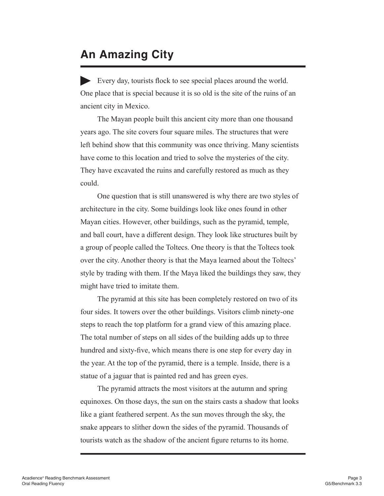#### **An Amazing City**

Every day, tourists flock to see special places around the world. One place that is special because it is so old is the site of the ruins of an ancient city in Mexico.

The Mayan people built this ancient city more than one thousand years ago. The site covers four square miles. The structures that were left behind show that this community was once thriving. Many scientists have come to this location and tried to solve the mysteries of the city. They have excavated the ruins and carefully restored as much as they could.

One question that is still unanswered is why there are two styles of architecture in the city. Some buildings look like ones found in other Mayan cities. However, other buildings, such as the pyramid, temple, and ball court, have a different design. They look like structures built by a group of people called the Toltecs. One theory is that the Toltecs took over the city. Another theory is that the Maya learned about the Toltecs' style by trading with them. If the Maya liked the buildings they saw, they might have tried to imitate them.

The pyramid at this site has been completely restored on two of its four sides. It towers over the other buildings. Visitors climb ninety-one steps to reach the top platform for a grand view of this amazing place. The total number of steps on all sides of the building adds up to three hundred and sixty-five, which means there is one step for every day in the year. At the top of the pyramid, there is a temple. Inside, there is a statue of a jaguar that is painted red and has green eyes.

The pyramid attracts the most visitors at the autumn and spring equinoxes. On those days, the sun on the stairs casts a shadow that looks like a giant feathered serpent. As the sun moves through the sky, the snake appears to slither down the sides of the pyramid. Thousands of tourists watch as the shadow of the ancient figure returns to its home.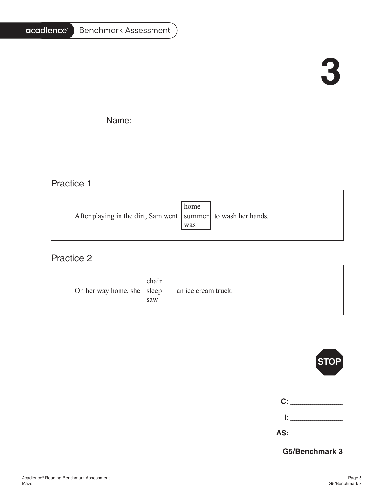#### acadience® Benchmark Assessment

# **3**

F

Name: \_\_\_\_\_\_\_\_\_\_\_\_\_\_\_\_\_\_\_\_\_\_\_\_\_\_\_\_\_\_\_\_\_\_\_\_\_\_\_\_\_\_\_\_\_\_\_\_\_\_\_\_\_\_\_\_\_\_\_\_\_\_\_\_\_\_\_\_\_\_\_\_\_\_\_\_\_\_\_\_\_\_\_\_\_\_\_\_\_\_\_\_\_\_\_\_\_\_\_\_\_\_\_

#### Practice 1

| After playing in the dirt, Sam went   summer   to wash her hands. | home<br>was |  |
|-------------------------------------------------------------------|-------------|--|
|                                                                   |             |  |

#### Practice 2

| On her way home, she   sleep | chair<br>saw | an ice cream truck. |
|------------------------------|--------------|---------------------|
|------------------------------|--------------|---------------------|

|    | <b>STOP</b> |
|----|-------------|
| C: |             |
| Ŀ. |             |

| G5/Benchmark 3 |  |
|----------------|--|

**AS:** \_\_\_\_\_\_\_\_\_\_\_\_\_\_\_\_\_\_\_\_\_\_\_\_\_\_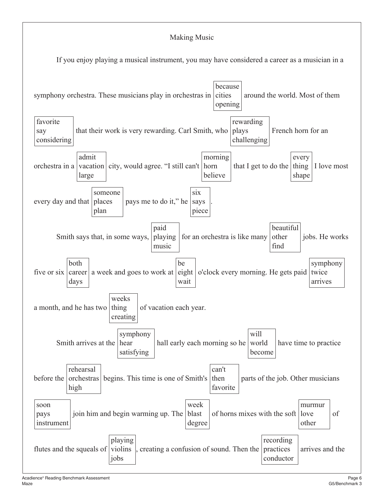#### Making Music

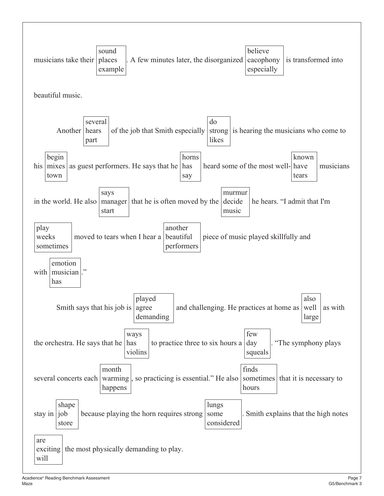